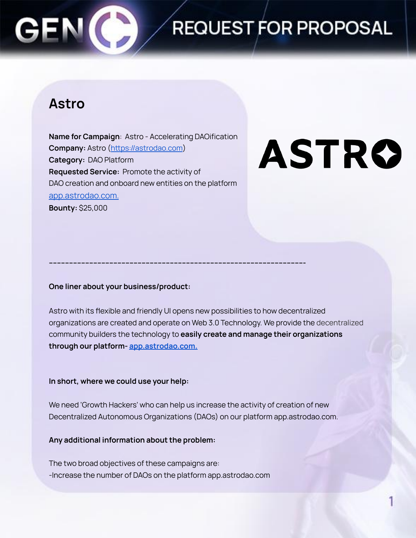## REQUEST FOR PROPOSAL

### **Astro**

**Name for Campaign**: Astro - Accelerating DAOification **Company:** Astro [\(https://astrodao.com](https://astrodao.com)) **Category:** DAO Platform **Requested Service:** Promote the activity of DAO creation and onboard new entities on the platform [app.astrodao.com.](https://app.astrodao.com/all-communities) **Bounty:** \$25,000

# ASTRO

**One liner about your business/product:**

Astro with its flexible and friendly UI opens new possibilities to how decentralized organizations are created and operate on Web 3.0 Technology. We provide the decentralized community builders the technology to **easily create and manage their organizations through our platform- [app.astrodao.com.](https://app.astrodao.com/all-communities)**

**------------------------------------------------------------------------------------------------------------------------------**

#### **In short, where we could use your help:**

We need 'Growth Hackers' who can help us increase the activity of creation of new Decentralized Autonomous Organizations (DAOs) on our platform app.astrodao.com.

**Any additional information about the problem:**

The two broad objectives of these campaigns are: -Increase the number of DAOs on the platform app.astrodao.com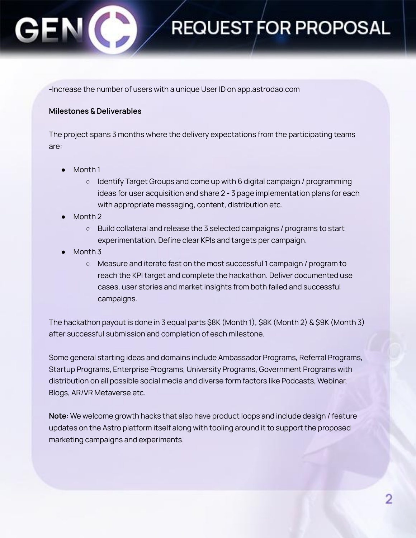## **REQUEST FOR PROPOSAL**

-Increase the number of users with a unique User ID on app.astrodao.com

#### **Milestones & Deliverables**

The project spans 3 months where the delivery expectations from the participating teams are:

- Month 1
	- Identify Target Groups and come up with 6 digital campaign / programming ideas for user acquisition and share 2 - 3 page implementation plans for each with appropriate messaging, content, distribution etc.
- Month 2
	- Build collateral and release the 3 selected campaigns / programs to start experimentation. Define clear KPIs and targets per campaign.
- Month 3
	- Measure and iterate fast on the most successful 1 campaign / program to reach the KPI target and complete the hackathon. Deliver documented use cases, user stories and market insights from both failed and successful campaigns.

The hackathon payout is done in 3 equal parts \$8K (Month 1), \$8K (Month 2) & \$9K (Month 3) after successful submission and completion of each milestone.

Some general starting ideas and domains include Ambassador Programs, Referral Programs, Startup Programs, Enterprise Programs, University Programs, Government Programs with distribution on all possible social media and diverse form factors like Podcasts, Webinar, Blogs, AR/VR Metaverse etc.

**Note**: We welcome growth hacks that also have product loops and include design / feature updates on the Astro platform itself along with tooling around it to support the proposed marketing campaigns and experiments.